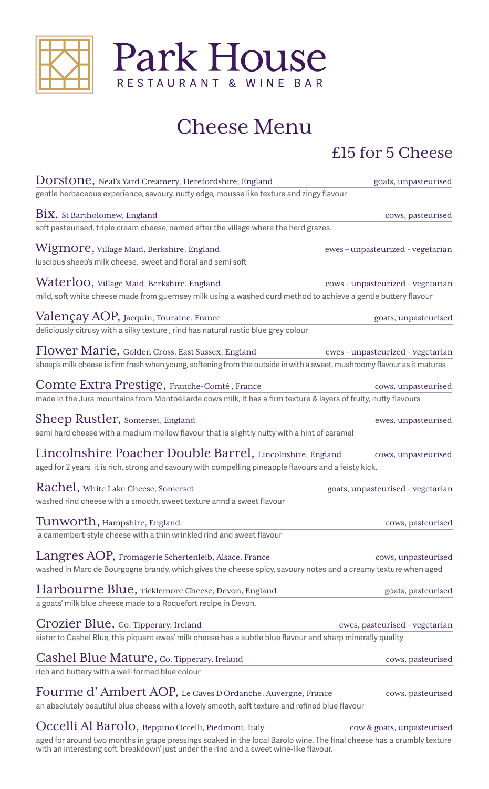



# Cheese Menu

### £15 for 5 Cheese

| Dorstone, Neal's Yard Creamery, Herefordshire, England                                                                                                             | goats, unpasteurised              |
|--------------------------------------------------------------------------------------------------------------------------------------------------------------------|-----------------------------------|
| gentle herbaceous experience, savoury, nutty edge, mousse like texture and zingy flavour                                                                           |                                   |
| $\mathrm{Bix},$ St Bartholomew, England                                                                                                                            | cows, pasteurised                 |
| soft pasteurised, triple cream cheese, named after the village where the herd grazes.                                                                              |                                   |
| $W\!$ i $g\!$ m $\!$ o $\!$ r $e$ , Village Maid, Berkshire, England                                                                                               | ewes-unpasteurized - vegetarian   |
| luscious sheep's milk cheese. sweet and floral and semi soft                                                                                                       |                                   |
| Waterloo, Village Maid, Berkshire, England                                                                                                                         | cows-unpasteurized - vegetarian   |
| mild, soft white cheese made from guernsey milk using a washed curd method to achieve a gentle buttery flavour                                                     |                                   |
| Valençay AOP, Jacquin, Touraine, France                                                                                                                            | goats, unpasteurised              |
| deliciously citrusy with a silky texture, rind has natural rustic blue grey colour                                                                                 |                                   |
| Flower Marie, Golden Cross, East Sussex, England                                                                                                                   | ewes-unpasteurized - vegetarian   |
| sheep's milk cheese is firm fresh when young, softening from the outside in with a sweet, mushroomy flavour as it matures                                          |                                   |
| Comte Extra Prestige, Franche-Comté, France                                                                                                                        | cows, unpasteurised               |
| made in the Jura mountains from Montbéliarde cows milk, it has a firm texture & layers of fruity, nutty flavours                                                   |                                   |
| Sheep Rustler, Somerset, England                                                                                                                                   |                                   |
| semi hard cheese with a medium mellow flavour that is slightly nutty with a hint of caramel                                                                        | ewes, unpasteurised               |
|                                                                                                                                                                    |                                   |
| Lincolnshire Poacher Double Barrel, Lincolnshire, England<br>aged for 2 years it is rich, strong and savoury with compelling pineapple flavours and a feisty kick. | cows, unpasteurised               |
|                                                                                                                                                                    |                                   |
| Rachel, White Lake Cheese, Somerset                                                                                                                                | goats, unpasteurised - vegetarian |
| washed rind cheese with a smooth, sweet texture annd a sweet flavour                                                                                               |                                   |
| Tunworth, Hampshire, England                                                                                                                                       | cows, pasteurised                 |
| a camembert-style cheese with a thin wrinkled rind and sweet flavour                                                                                               |                                   |
| Langres AOP, Fromagerie Schertenleib, Alsace, France                                                                                                               | cows, unpasteurised               |
| washed in Marc de Bourgogne brandy, which gives the cheese spicy, savoury notes and a creamy texture when aged                                                     |                                   |
| Harbourne Blue, Ticklemore Cheese, Devon, England                                                                                                                  | goats, pasteurised                |
| a goats' milk blue cheese made to a Roquefort recipe in Devon.                                                                                                     |                                   |
| Crozier Blue, Co. Tipperary, Ireland                                                                                                                               | ewes, pasteurised - vegetarian    |
| sister to Cashel Blue, this piquant ewes' milk cheese has a subtle blue flavour and sharp minerally quality                                                        |                                   |
| Cashel Blue Mature, Co. Tipperary, Ireland                                                                                                                         |                                   |
| rich and buttery with a well-formed blue colour                                                                                                                    | cows, pasteurised                 |
|                                                                                                                                                                    |                                   |
| Fourme d'Ambert AOP, Le Caves D'Ordanche, Auvergne, France                                                                                                         | cows, pasteurised                 |
| an absolutely beautiful blue cheese with a lovely smooth, soft texture and refined blue flavour                                                                    |                                   |
| Occelli Al Barolo, Beppino Occelli, Piedmont, Italy                                                                                                                | cow & goats, unpasteurised        |

aged for around two months in grape pressings soaked in the local Barolo wine. The final cheese has a crumbly texture with an interesting soft 'breakdown' just under the rind and a sweet wine-like flavour.